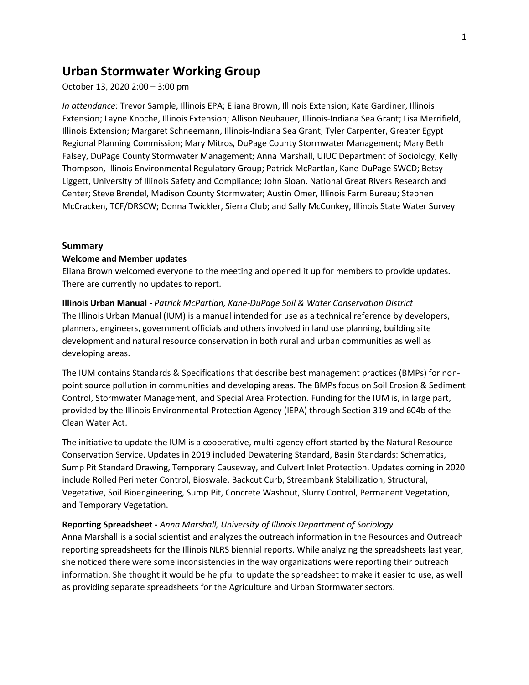# **Urban Stormwater Working Group**

October 13, 2020 2:00 – 3:00 pm

*In attendance*: Trevor Sample, Illinois EPA; Eliana Brown, Illinois Extension; Kate Gardiner, Illinois Extension; Layne Knoche, Illinois Extension; Allison Neubauer, Illinois-Indiana Sea Grant; Lisa Merrifield, Illinois Extension; Margaret Schneemann, Illinois-Indiana Sea Grant; Tyler Carpenter, Greater Egypt Regional Planning Commission; Mary Mitros, DuPage County Stormwater Management; Mary Beth Falsey, DuPage County Stormwater Management; Anna Marshall, UIUC Department of Sociology; Kelly Thompson, Illinois Environmental Regulatory Group; Patrick McPartlan, Kane-DuPage SWCD; Betsy Liggett, University of Illinois Safety and Compliance; John Sloan, National Great Rivers Research and Center; Steve Brendel, Madison County Stormwater; Austin Omer, Illinois Farm Bureau; Stephen McCracken, TCF/DRSCW; Donna Twickler, Sierra Club; and Sally McConkey, Illinois State Water Survey

### **Summary**

#### **Welcome and Member updates**

Eliana Brown welcomed everyone to the meeting and opened it up for members to provide updates. There are currently no updates to report.

**Illinois Urban Manual** *- Patrick McPartlan, Kane-DuPage Soil & Water Conservation District* The Illinois Urban Manual (IUM) is a manual intended for use as a technical reference by developers, planners, engineers, government officials and others involved in land use planning, building site development and natural resource conservation in both rural and urban communities as well as developing areas.

The IUM contains Standards & Specifications that describe best management practices (BMPs) for nonpoint source pollution in communities and developing areas. The BMPs focus on Soil Erosion & Sediment Control, Stormwater Management, and Special Area Protection. Funding for the IUM is, in large part, provided by the Illinois Environmental Protection Agency (IEPA) through Section 319 and 604b of the Clean Water Act.

The initiative to update the IUM is a cooperative, multi-agency effort started by the Natural Resource Conservation Service. Updates in 2019 included Dewatering Standard, Basin Standards: Schematics, Sump Pit Standard Drawing, Temporary Causeway, and Culvert Inlet Protection. Updates coming in 2020 include Rolled Perimeter Control, Bioswale, Backcut Curb, Streambank Stabilization, Structural, Vegetative, Soil Bioengineering, Sump Pit, Concrete Washout, Slurry Control, Permanent Vegetation, and Temporary Vegetation.

### **Reporting Spreadsheet -** *Anna Marshall, University of Illinois Department of Sociology*

Anna Marshall is a social scientist and analyzes the outreach information in the Resources and Outreach reporting spreadsheets for the Illinois NLRS biennial reports. While analyzing the spreadsheets last year, she noticed there were some inconsistencies in the way organizations were reporting their outreach information. She thought it would be helpful to update the spreadsheet to make it easier to use, as well as providing separate spreadsheets for the Agriculture and Urban Stormwater sectors.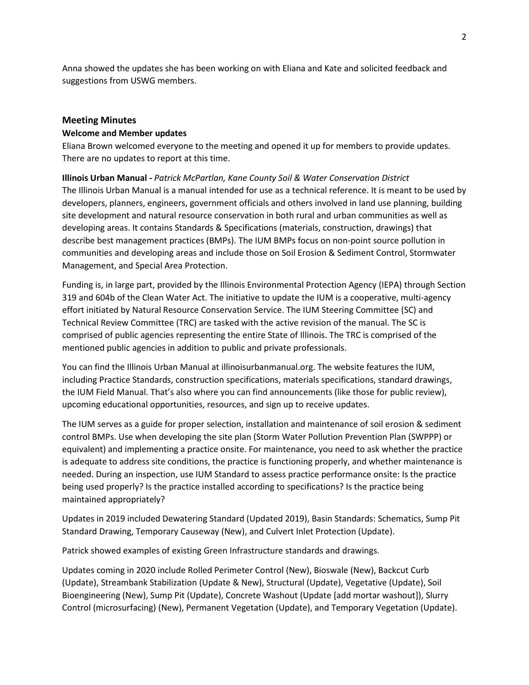Anna showed the updates she has been working on with Eliana and Kate and solicited feedback and suggestions from USWG members.

# **Meeting Minutes**

# **Welcome and Member updates**

Eliana Brown welcomed everyone to the meeting and opened it up for members to provide updates. There are no updates to report at this time.

**Illinois Urban Manual** *- Patrick McPartlan, Kane County Soil & Water Conservation District* The Illinois Urban Manual is a manual intended for use as a technical reference. It is meant to be used by developers, planners, engineers, government officials and others involved in land use planning, building site development and natural resource conservation in both rural and urban communities as well as developing areas. It contains Standards & Specifications (materials, construction, drawings) that describe best management practices (BMPs). The IUM BMPs focus on non-point source pollution in communities and developing areas and include those on Soil Erosion & Sediment Control, Stormwater Management, and Special Area Protection.

Funding is, in large part, provided by the Illinois Environmental Protection Agency (IEPA) through Section 319 and 604b of the Clean Water Act. The initiative to update the IUM is a cooperative, multi-agency effort initiated by Natural Resource Conservation Service. The IUM Steering Committee (SC) and Technical Review Committee (TRC) are tasked with the active revision of the manual. The SC is comprised of public agencies representing the entire State of Illinois. The TRC is comprised of the mentioned public agencies in addition to public and private professionals.

You can find the Illinois Urban Manual at illinoisurbanmanual.org. The website features the IUM, including Practice Standards, construction specifications, materials specifications, standard drawings, the IUM Field Manual. That's also where you can find announcements (like those for public review), upcoming educational opportunities, resources, and sign up to receive updates.

The IUM serves as a guide for proper selection, installation and maintenance of soil erosion & sediment control BMPs. Use when developing the site plan (Storm Water Pollution Prevention Plan (SWPPP) or equivalent) and implementing a practice onsite. For maintenance, you need to ask whether the practice is adequate to address site conditions, the practice is functioning properly, and whether maintenance is needed. During an inspection, use IUM Standard to assess practice performance onsite: Is the practice being used properly? Is the practice installed according to specifications? Is the practice being maintained appropriately?

Updates in 2019 included Dewatering Standard (Updated 2019), Basin Standards: Schematics, Sump Pit Standard Drawing, Temporary Causeway (New), and Culvert Inlet Protection (Update).

Patrick showed examples of existing Green Infrastructure standards and drawings.

Updates coming in 2020 include Rolled Perimeter Control (New), Bioswale (New), Backcut Curb (Update), Streambank Stabilization (Update & New), Structural (Update), Vegetative (Update), Soil Bioengineering (New), Sump Pit (Update), Concrete Washout (Update [add mortar washout]), Slurry Control (microsurfacing) (New), Permanent Vegetation (Update), and Temporary Vegetation (Update).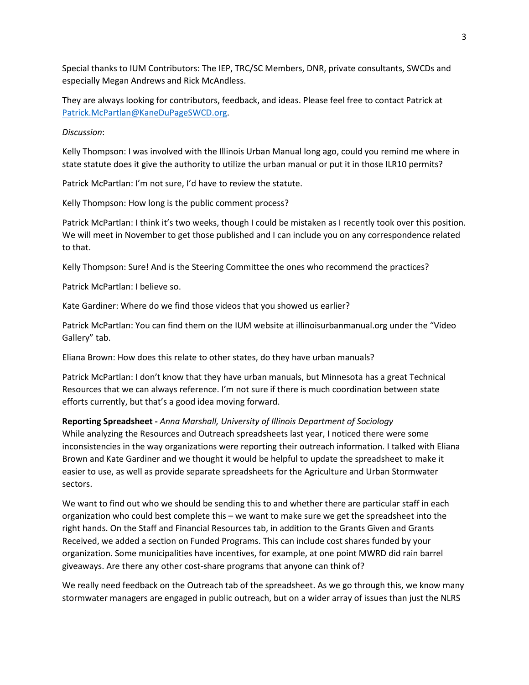Special thanks to IUM Contributors: The IEP, TRC/SC Members, DNR, private consultants, SWCDs and especially Megan Andrews and Rick McAndless.

They are always looking for contributors, feedback, and ideas. Please feel free to contact Patrick at [Patrick.McPartlan@KaneDuPageSWCD.org.](mailto:Patrick.McPartlan@KaneDuPageSWCD.org)

## *Discussion*:

Kelly Thompson: I was involved with the Illinois Urban Manual long ago, could you remind me where in state statute does it give the authority to utilize the urban manual or put it in those ILR10 permits?

Patrick McPartlan: I'm not sure, I'd have to review the statute.

Kelly Thompson: How long is the public comment process?

Patrick McPartlan: I think it's two weeks, though I could be mistaken as I recently took over this position. We will meet in November to get those published and I can include you on any correspondence related to that.

Kelly Thompson: Sure! And is the Steering Committee the ones who recommend the practices?

Patrick McPartlan: I believe so.

Kate Gardiner: Where do we find those videos that you showed us earlier?

Patrick McPartlan: You can find them on the IUM website at illinoisurbanmanual.org under the "Video Gallery" tab.

Eliana Brown: How does this relate to other states, do they have urban manuals?

Patrick McPartlan: I don't know that they have urban manuals, but Minnesota has a great Technical Resources that we can always reference. I'm not sure if there is much coordination between state efforts currently, but that's a good idea moving forward.

## **Reporting Spreadsheet -** *Anna Marshall, University of Illinois Department of Sociology*

While analyzing the Resources and Outreach spreadsheets last year, I noticed there were some inconsistencies in the way organizations were reporting their outreach information. I talked with Eliana Brown and Kate Gardiner and we thought it would be helpful to update the spreadsheet to make it easier to use, as well as provide separate spreadsheets for the Agriculture and Urban Stormwater sectors.

We want to find out who we should be sending this to and whether there are particular staff in each organization who could best complete this – we want to make sure we get the spreadsheet into the right hands. On the Staff and Financial Resources tab, in addition to the Grants Given and Grants Received, we added a section on Funded Programs. This can include cost shares funded by your organization. Some municipalities have incentives, for example, at one point MWRD did rain barrel giveaways. Are there any other cost-share programs that anyone can think of?

We really need feedback on the Outreach tab of the spreadsheet. As we go through this, we know many stormwater managers are engaged in public outreach, but on a wider array of issues than just the NLRS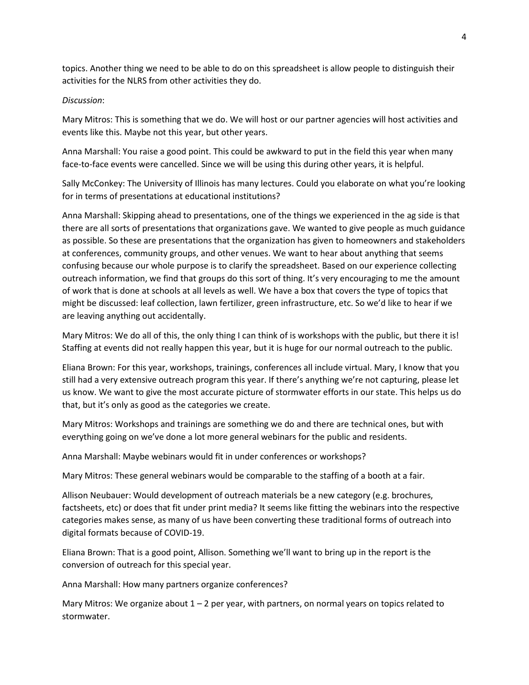topics. Another thing we need to be able to do on this spreadsheet is allow people to distinguish their activities for the NLRS from other activities they do.

## *Discussion*:

Mary Mitros: This is something that we do. We will host or our partner agencies will host activities and events like this. Maybe not this year, but other years.

Anna Marshall: You raise a good point. This could be awkward to put in the field this year when many face-to-face events were cancelled. Since we will be using this during other years, it is helpful.

Sally McConkey: The University of Illinois has many lectures. Could you elaborate on what you're looking for in terms of presentations at educational institutions?

Anna Marshall: Skipping ahead to presentations, one of the things we experienced in the ag side is that there are all sorts of presentations that organizations gave. We wanted to give people as much guidance as possible. So these are presentations that the organization has given to homeowners and stakeholders at conferences, community groups, and other venues. We want to hear about anything that seems confusing because our whole purpose is to clarify the spreadsheet. Based on our experience collecting outreach information, we find that groups do this sort of thing. It's very encouraging to me the amount of work that is done at schools at all levels as well. We have a box that covers the type of topics that might be discussed: leaf collection, lawn fertilizer, green infrastructure, etc. So we'd like to hear if we are leaving anything out accidentally.

Mary Mitros: We do all of this, the only thing I can think of is workshops with the public, but there it is! Staffing at events did not really happen this year, but it is huge for our normal outreach to the public.

Eliana Brown: For this year, workshops, trainings, conferences all include virtual. Mary, I know that you still had a very extensive outreach program this year. If there's anything we're not capturing, please let us know. We want to give the most accurate picture of stormwater efforts in our state. This helps us do that, but it's only as good as the categories we create.

Mary Mitros: Workshops and trainings are something we do and there are technical ones, but with everything going on we've done a lot more general webinars for the public and residents.

Anna Marshall: Maybe webinars would fit in under conferences or workshops?

Mary Mitros: These general webinars would be comparable to the staffing of a booth at a fair.

Allison Neubauer: Would development of outreach materials be a new category (e.g. brochures, factsheets, etc) or does that fit under print media? It seems like fitting the webinars into the respective categories makes sense, as many of us have been converting these traditional forms of outreach into digital formats because of COVID-19.

Eliana Brown: That is a good point, Allison. Something we'll want to bring up in the report is the conversion of outreach for this special year.

Anna Marshall: How many partners organize conferences?

Mary Mitros: We organize about  $1 - 2$  per year, with partners, on normal years on topics related to stormwater.